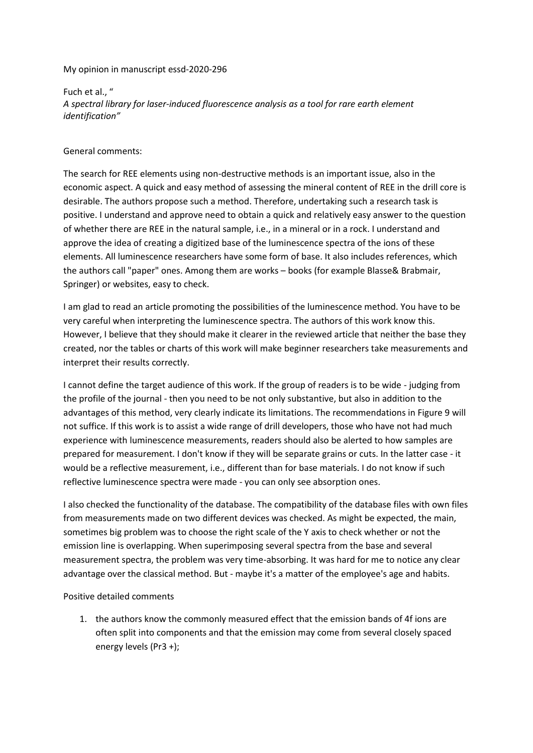My opinion in manuscript essd-2020-296

Fuch et al., " *A spectral library for laser-induced fluorescence analysis as a tool for rare earth element identification"*

General comments:

The search for REE elements using non-destructive methods is an important issue, also in the economic aspect. A quick and easy method of assessing the mineral content of REE in the drill core is desirable. The authors propose such a method. Therefore, undertaking such a research task is positive. I understand and approve need to obtain a quick and relatively easy answer to the question of whether there are REE in the natural sample, i.e., in a mineral or in a rock. I understand and approve the idea of creating a digitized base of the luminescence spectra of the ions of these elements. All luminescence researchers have some form of base. It also includes references, which the authors call "paper" ones. Among them are works – books (for example Blasse& Brabmair, Springer) or websites, easy to check.

I am glad to read an article promoting the possibilities of the luminescence method. You have to be very careful when interpreting the luminescence spectra. The authors of this work know this. However, I believe that they should make it clearer in the reviewed article that neither the base they created, nor the tables or charts of this work will make beginner researchers take measurements and interpret their results correctly.

I cannot define the target audience of this work. If the group of readers is to be wide - judging from the profile of the journal - then you need to be not only substantive, but also in addition to the advantages of this method, very clearly indicate its limitations. The recommendations in Figure 9 will not suffice. If this work is to assist a wide range of drill developers, those who have not had much experience with luminescence measurements, readers should also be alerted to how samples are prepared for measurement. I don't know if they will be separate grains or cuts. In the latter case - it would be a reflective measurement, i.e., different than for base materials. I do not know if such reflective luminescence spectra were made - you can only see absorption ones.

I also checked the functionality of the database. The compatibility of the database files with own files from measurements made on two different devices was checked. As might be expected, the main, sometimes big problem was to choose the right scale of the Y axis to check whether or not the emission line is overlapping. When superimposing several spectra from the base and several measurement spectra, the problem was very time-absorbing. It was hard for me to notice any clear advantage over the classical method. But - maybe it's a matter of the employee's age and habits.

Positive detailed comments

1. the authors know the commonly measured effect that the emission bands of 4f ions are often split into components and that the emission may come from several closely spaced energy levels (Pr3 +);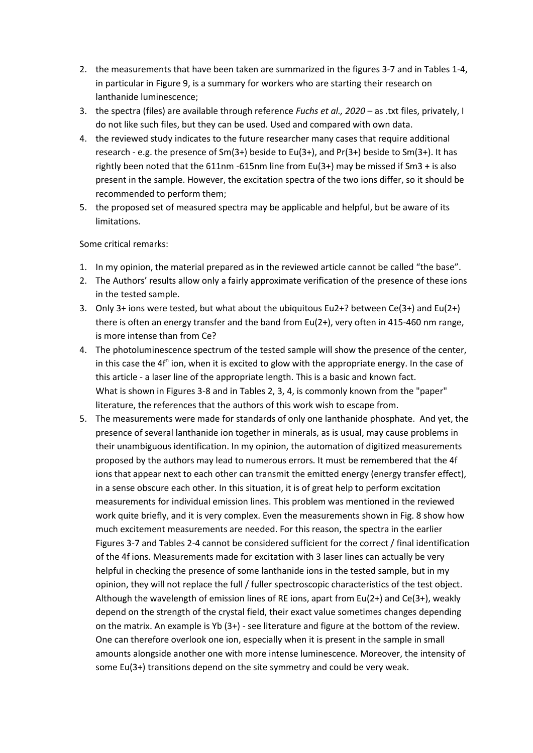- 2. the measurements that have been taken are summarized in the figures 3-7 and in Tables 1-4, in particular in Figure 9, is a summary for workers who are starting their research on lanthanide luminescence;
- 3. the spectra (files) are available through reference *Fuchs et al., 2020* as .txt files, privately, I do not like such files, but they can be used. Used and compared with own data.
- 4. the reviewed study indicates to the future researcher many cases that require additional research - e.g. the presence of  $Sm(3+)$  beside to  $Eu(3+)$ , and  $Pr(3+)$  beside to  $Sm(3+)$ . It has rightly been noted that the 611nm -615nm line from Eu(3+) may be missed if Sm3 + is also present in the sample. However, the excitation spectra of the two ions differ, so it should be recommended to perform them;
- 5. the proposed set of measured spectra may be applicable and helpful, but be aware of its limitations.

Some critical remarks:

- 1. In my opinion, the material prepared as in the reviewed article cannot be called "the base".
- 2. The Authors' results allow only a fairly approximate verification of the presence of these ions in the tested sample.
- 3. Only 3+ ions were tested, but what about the ubiquitous Eu2+? between Ce(3+) and Eu(2+) there is often an energy transfer and the band from Eu(2+), very often in 415-460 nm range, is more intense than from Ce?
- 4. The photoluminescence spectrum of the tested sample will show the presence of the center, in this case the 4f<sup>n</sup> ion, when it is excited to glow with the appropriate energy. In the case of this article - a laser line of the appropriate length. This is a basic and known fact. What is shown in Figures 3-8 and in Tables 2, 3, 4, is commonly known from the "paper" literature, the references that the authors of this work wish to escape from.
- 5. The measurements were made for standards of only one lanthanide phosphate. And yet, the presence of several lanthanide ion together in minerals, as is usual, may cause problems in their unambiguous identification. In my opinion, the automation of digitized measurements proposed by the authors may lead to numerous errors. It must be remembered that the 4f ions that appear next to each other can transmit the emitted energy (energy transfer effect), in a sense obscure each other. In this situation, it is of great help to perform excitation measurements for individual emission lines. This problem was mentioned in the reviewed work quite briefly, and it is very complex. Even the measurements shown in Fig. 8 show how much excitement measurements are needed. For this reason, the spectra in the earlier Figures 3-7 and Tables 2-4 cannot be considered sufficient for the correct / final identification of the 4f ions. Measurements made for excitation with 3 laser lines can actually be very helpful in checking the presence of some lanthanide ions in the tested sample, but in my opinion, they will not replace the full / fuller spectroscopic characteristics of the test object. Although the wavelength of emission lines of RE ions, apart from Eu(2+) and Ce(3+), weakly depend on the strength of the crystal field, their exact value sometimes changes depending on the matrix. An example is Yb (3+) - see literature and figure at the bottom of the review. One can therefore overlook one ion, especially when it is present in the sample in small amounts alongside another one with more intense luminescence. Moreover, the intensity of some Eu(3+) transitions depend on the site symmetry and could be very weak.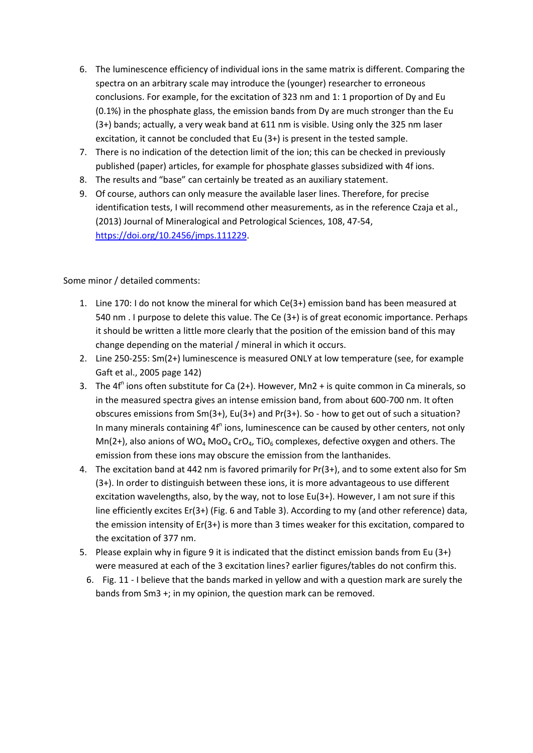- 6. The luminescence efficiency of individual ions in the same matrix is different. Comparing the spectra on an arbitrary scale may introduce the (younger) researcher to erroneous conclusions. For example, for the excitation of 323 nm and 1: 1 proportion of Dy and Eu (0.1%) in the phosphate glass, the emission bands from Dy are much stronger than the Eu (3+) bands; actually, a very weak band at 611 nm is visible. Using only the 325 nm laser excitation, it cannot be concluded that Eu (3+) is present in the tested sample.
- 7. There is no indication of the detection limit of the ion; this can be checked in previously published (paper) articles, for example for phosphate glasses subsidized with 4f ions.
- 8. The results and "base" can certainly be treated as an auxiliary statement.
- 9. Of course, authors can only measure the available laser lines. Therefore, for precise identification tests, I will recommend other measurements, as in the reference Czaja et al., (2013) Journal of Mineralogical and Petrological Sciences, 108, 47-54, [https://doi.org/10.2456/jmps.111229.](https://doi.org/10.2456/jmps.111229)

Some minor / detailed comments:

- 1. Line 170: I do not know the mineral for which Ce(3+) emission band has been measured at 540 nm . I purpose to delete this value. The Ce (3+) is of great economic importance. Perhaps it should be written a little more clearly that the position of the emission band of this may change depending on the material / mineral in which it occurs.
- 2. Line 250-255: Sm(2+) luminescence is measured ONLY at low temperature (see, for example Gaft et al., 2005 page 142)
- 3. The  $4f^n$  ions often substitute for Ca (2+). However, Mn2 + is quite common in Ca minerals, so in the measured spectra gives an intense emission band, from about 600-700 nm. It often obscures emissions from Sm(3+), Eu(3+) and Pr(3+). So - how to get out of such a situation? In many minerals containing 4f<sup>n</sup> ions, luminescence can be caused by other centers, not only Mn(2+), also anions of WO<sub>4</sub> MoO<sub>4</sub> CrO<sub>4</sub>, TiO<sub>6</sub> complexes, defective oxygen and others. The emission from these ions may obscure the emission from the lanthanides.
- 4. The excitation band at 442 nm is favored primarily for Pr(3+), and to some extent also for Sm (3+). In order to distinguish between these ions, it is more advantageous to use different excitation wavelengths, also, by the way, not to lose Eu(3+). However, I am not sure if this line efficiently excites Er(3+) (Fig. 6 and Table 3). According to my (and other reference) data, the emission intensity of Er(3+) is more than 3 times weaker for this excitation, compared to the excitation of 377 nm.
- 5. Please explain why in figure 9 it is indicated that the distinct emission bands from Eu (3+) were measured at each of the 3 excitation lines? earlier figures/tables do not confirm this.
	- 6. Fig. 11 I believe that the bands marked in yellow and with a question mark are surely the bands from Sm3 +; in my opinion, the question mark can be removed.